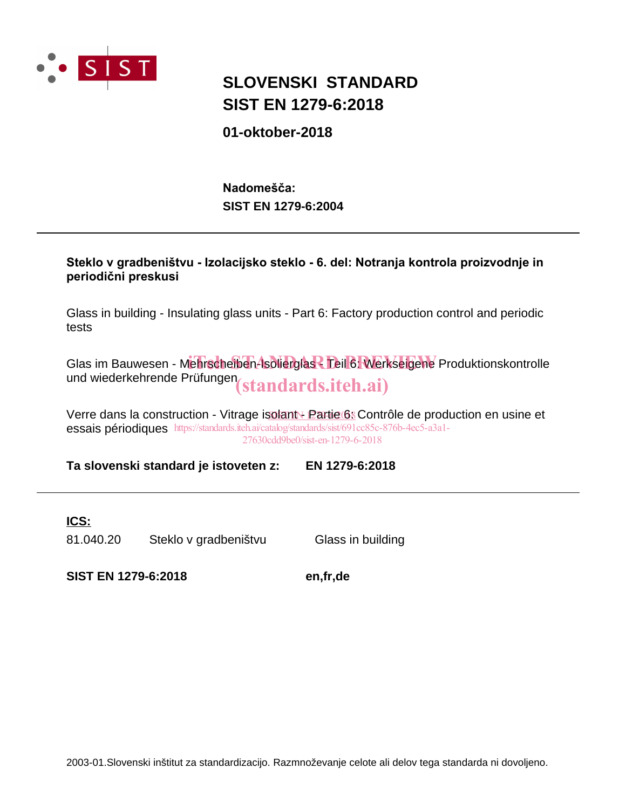

## **SIST EN 1279-6:2018 SLOVENSKI STANDARD**

**01-oktober-2018**

**SIST EN 1279-6:2004** Nadomešča:

#### Steklo v gradbeništvu - Izolacijsko steklo - 6. del: Notranja kontrola proizvodnje in periodični preskusi

Glass in building - Insulating glass units - Part 6: Factory production control and periodic tests

Glas im Bauwesen - Mehrscheiben-Isolierglas - Teil 6: Werkseigene Produktionskontrolle und wiederkehrende Prüfungen (standards.iteh.ai)

Verre dans la construction - Vitrage isolant - Partie 68 Contrôle de production en usine et essais périodiques https://standards.iteh.ai/catalog/standards/sist/691cc85c-876b-4ec5-a3a1-27630cdd9be0/sist-en-1279-6-2018

**Ta slovenski standard je istoveten z: EN 1279-6:2018**

#### **ICS:**

81.040.20 Steklo v gradbeništvu Glass in building

**SIST EN 1279-6:2018 en,fr,de**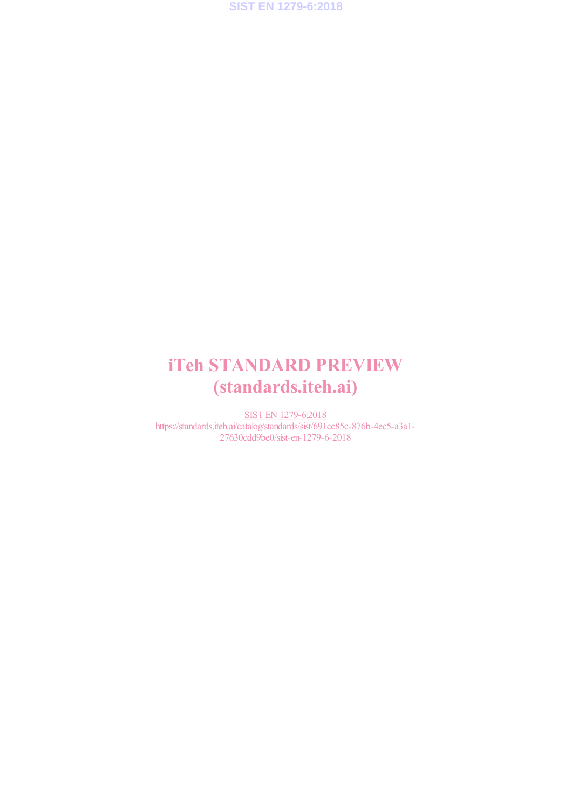

## iTeh STANDARD PREVIEW (standards.iteh.ai)

SIST EN 1279-6:2018 https://standards.iteh.ai/catalog/standards/sist/691cc85c-876b-4ec5-a3a1- 27630cdd9be0/sist-en-1279-6-2018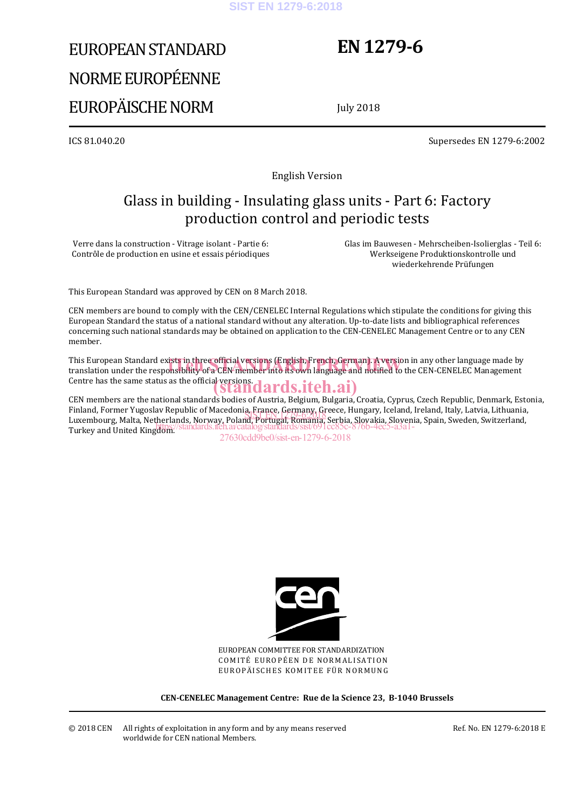#### **SIST EN 1279-6:2018**

# EUROPEAN STANDARD NORME EUROPÉENNE EUROPÄISCHE NORM

## **EN 1279-6**

July 2018

ICS 81.040.20 Supersedes EN 1279-6:2002

English Version

## Glass in building - Insulating glass units - Part 6: Factory production control and periodic tests

Verre dans la construction - Vitrage isolant - Partie 6: Contrôle de production en usine et essais périodiques  Glas im Bauwesen - Mehrscheiben-Isolierglas - Teil 6: Werkseigene Produktionskontrolle und wiederkehrende Prüfungen

This European Standard was approved by CEN on 8 March 2018.

CEN members are bound to comply with the CEN/CENELEC Internal Regulations which stipulate the conditions for giving this European Standard the status of a national standard without any alteration. Up-to-date lists and bibliographical references concerning such national standards may be obtained on application to the CEN-CENELEC Management Centre or to any CEN member.

This European Standard exists in three official versions (English, French, German). A version in any other language made by This European Standard exists in three official versions (English, French, German). A version in any other language made by<br>translation under the responsibility of a CEN member into its own language and notified to the CEN Centre has the same status as the official versions.<br>
Standards.iteh.ai)

CEN members are the national standards bodies of Austria, Belgium, Bulgaria, Croatia, Cyprus, Czech Republic, Denmark, Estonia, Finland, Former Yugoslav Republic of Macedonia, France, Germany, Greece, Hungary, Iceland, Ireland, Italy, Latvia, Lithuania, rinianu, roriner Tugosiav Republic of Maceuonia, France, Gerulany, Greece, Hungary, Icelanu, Irelanu, Italy, Latvia, Lithuania,<br>Luxembourg, Malta, Netherlands, Norway, Poland, Portugal, Romania, Serbia, <u>Sl</u>ovakia, Sloveni Turkey and United Kingdom.<sup>7</sup>St https://standards.iteh.ai/catalog/standards/sist/691cc85c-876b-4ec5-a3a1-

27630cdd9be0/sist-en-1279-6-2018



EUROPEAN COMMITTEE FOR STANDARDIZATION COMITÉ EUROPÉEN DE NORMALISATION EUROPÄISCHES KOMITEE FÜR NORMUNG

**CEN-CENELEC Management Centre: Rue de la Science 23, B-1040 Brussels**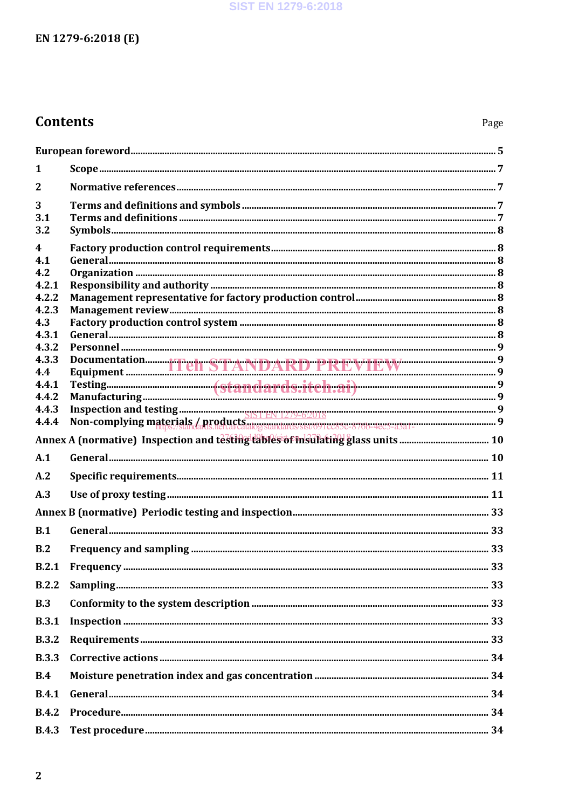#### **SIST EN 1279-6:2018**

## EN 1279-6:2018 (E)

## **Contents**

| 1                                       |  |
|-----------------------------------------|--|
| $\mathbf{2}$                            |  |
| 3<br>3.1<br>3.2                         |  |
| $\boldsymbol{4}$<br>4.1<br>4.2<br>4.2.1 |  |
| 4.2.2<br>4.2.3                          |  |
| 4.3<br>4.3.1                            |  |
| 4.3.2<br>4.3.3<br>4.4                   |  |
| 4.4.1<br>4.4.2<br>4.4.3                 |  |
| 4.4.4                                   |  |
|                                         |  |
| A.1                                     |  |
| A.2                                     |  |
| A.3                                     |  |
|                                         |  |
| B.1                                     |  |
| B.2                                     |  |
| B.2.1                                   |  |
| B.2.2                                   |  |
| B.3                                     |  |
| <b>B.3.1</b>                            |  |
| <b>B.3.2</b>                            |  |
| <b>B.3.3</b>                            |  |
| B.4                                     |  |
| <b>B.4.1</b>                            |  |
| <b>B.4.2</b>                            |  |
| <b>B.4.3</b>                            |  |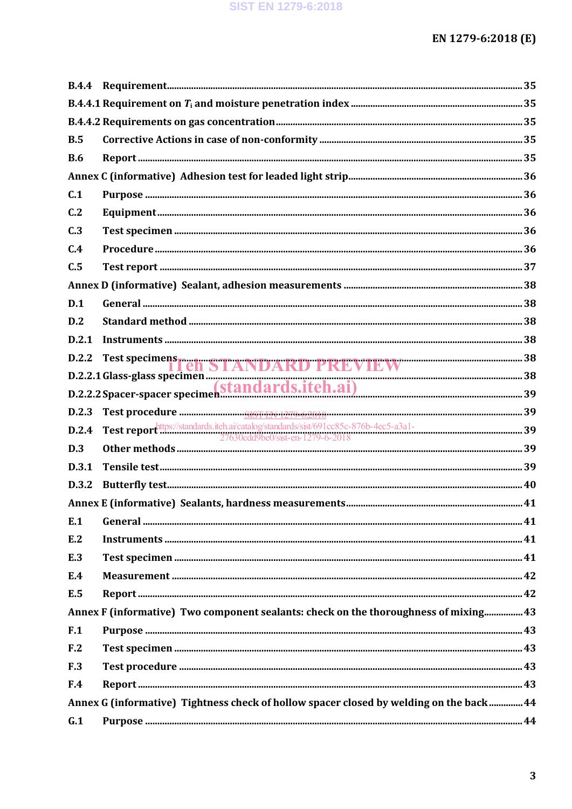| B.5             |                                                                                                        |  |
|-----------------|--------------------------------------------------------------------------------------------------------|--|
| <b>B.6</b>      |                                                                                                        |  |
|                 |                                                                                                        |  |
| C.1             |                                                                                                        |  |
| C.2             |                                                                                                        |  |
| C.3             |                                                                                                        |  |
| C.4             |                                                                                                        |  |
| C.5             |                                                                                                        |  |
|                 |                                                                                                        |  |
| D.1             |                                                                                                        |  |
| D.2             |                                                                                                        |  |
| D.2.1           |                                                                                                        |  |
| D.2.2           | Test specimens Teli STANDARD PREVIEW                                                                   |  |
|                 | D.2.2.1 Glass-glass specimen (Standards.itch.ai)<br>D.2.2.2 Spacer-spacer specimen (Standards.itch.ai) |  |
|                 |                                                                                                        |  |
| D.2.3           |                                                                                                        |  |
| D.2.4           |                                                                                                        |  |
| D.3             |                                                                                                        |  |
| D.3.1           |                                                                                                        |  |
| D.3.2           |                                                                                                        |  |
|                 |                                                                                                        |  |
| E.1             |                                                                                                        |  |
| E.2             |                                                                                                        |  |
| E.3             |                                                                                                        |  |
| E.4             |                                                                                                        |  |
| E.5             |                                                                                                        |  |
|                 | Annex F (informative) Two component sealants: check on the thoroughness of mixing 43                   |  |
| F.1             |                                                                                                        |  |
| F <sub>12</sub> |                                                                                                        |  |
| F.3             |                                                                                                        |  |
| F.4             |                                                                                                        |  |
|                 | Annex G (informative) Tightness check of hollow spacer closed by welding on the back 44                |  |
| G.1             |                                                                                                        |  |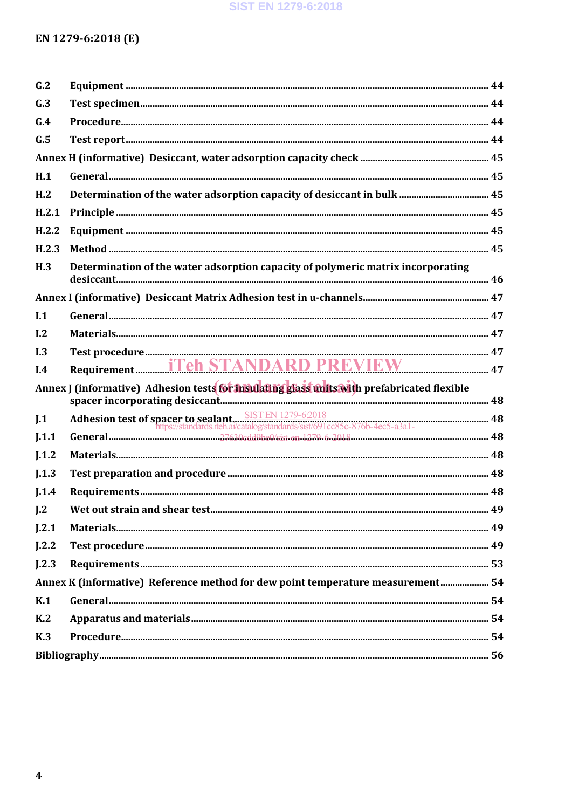#### **SIST EN 1279-6:2018**

## EN 1279-6:2018 (E)

| G.2              |                                                                                            |  |
|------------------|--------------------------------------------------------------------------------------------|--|
| G.3              |                                                                                            |  |
| G.4              |                                                                                            |  |
| G.5              |                                                                                            |  |
|                  |                                                                                            |  |
| H.1              |                                                                                            |  |
| H <sub>1</sub> 2 |                                                                                            |  |
| H.2.1            |                                                                                            |  |
| H.2.2            |                                                                                            |  |
| H.2.3            |                                                                                            |  |
| H.3              | Determination of the water adsorption capacity of polymeric matrix incorporating           |  |
|                  |                                                                                            |  |
| I.1              |                                                                                            |  |
| I.2              |                                                                                            |  |
| I.3              |                                                                                            |  |
|                  |                                                                                            |  |
| I.4              |                                                                                            |  |
|                  | Annex J (informative) Adhesion tests for msulating glass units with prefabricated flexible |  |
| J.1              |                                                                                            |  |
| I.1.1            |                                                                                            |  |
| J.1.2            |                                                                                            |  |
| I.1.3            |                                                                                            |  |
| I.1.4            |                                                                                            |  |
| J.2              |                                                                                            |  |
| J.2.1            |                                                                                            |  |
| J.2.2            |                                                                                            |  |
| L2.3             |                                                                                            |  |
|                  | Annex K (informative) Reference method for dew point temperature measurement 54            |  |
| K.1              |                                                                                            |  |
| K <sub>2</sub>   |                                                                                            |  |
| K <sub>3</sub>   |                                                                                            |  |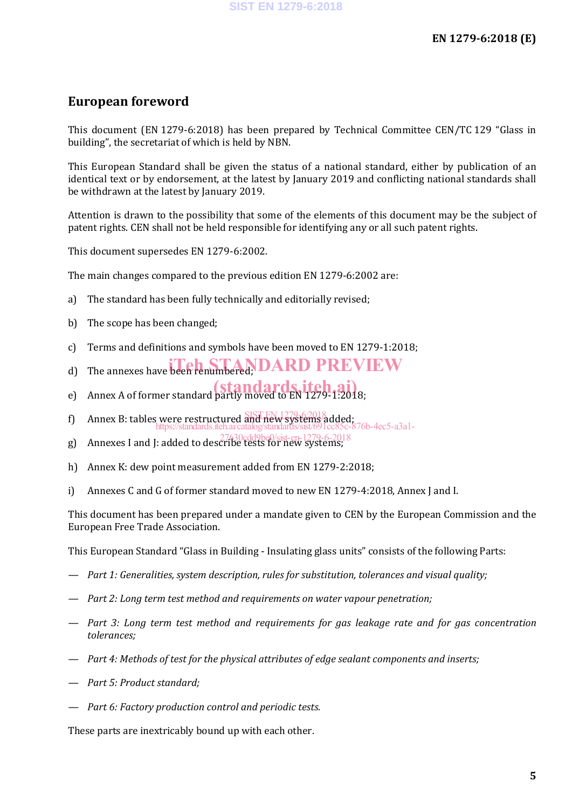### **European foreword**

This document (EN 1279-6:2018) has been prepared by Technical Committee CEN/TC 129 "Glass in building", the secretariat of which is held by NBN.

This European Standard shall be given the status of a national standard, either by publication of an identical text or by endorsement, at the latest by January 2019 and conflicting national standards shall be withdrawn at the latest by January 2019.

Attention is drawn to the possibility that some of the elements of this document may be the subject of patent rights. CEN shall not be held responsible for identifying any or all such patent rights.

This document supersedes EN 1279-6:2002.

The main changes compared to the previous edition EN 1279-6:2002 are:

- a) The standard has been fully technically and editorially revised;
- b) The scope has been changed;
- c) Terms and definitions and symbols have been moved to EN 1279-1:2018;
- d) The annexes have been renumbered; **DARD PREVIEW**
- e) Annex A of former standard partly moved to EN 1279-1:2018;
- f) Annex B: tables were restructured and new systems added; https://standards.iteh.ai/catalog/standards/sist/691cc85c-876b-4ec5-a3a1-
- g) Annexes I and J: added to describe tests for new systems; 27630cdd9be0/sist-en-1279-6-2018
- h) Annex K: dew point measurement added from EN 1279-2:2018;
- i) Annexes C and G of former standard moved to new EN 1279-4:2018, Annex J and I.

This document has been prepared under a mandate given to CEN by the European Commission and the European Free Trade Association.

This European Standard "Glass in Building - Insulating glass units" consists of the following Parts:

- *— Part 1: Generalities, system description, rules for substitution, tolerances and visual quality;*
- *— Part 2: Long term test method and requirements on water vapour penetration;*
- *— Part 3: Long term test method and requirements for gas leakage rate and for gas concentration tolerances;*
- *— Part 4: Methods of test for the physical attributes of edge sealant components and inserts;*
- *— Part 5: Product standard;*
- *— Part 6: Factory production control and periodic tests.*

These parts are inextricably bound up with each other.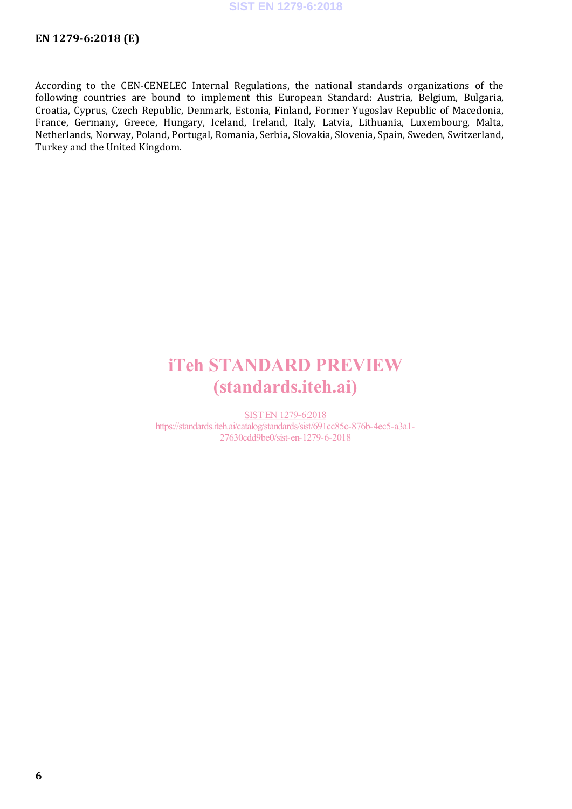According to the CEN-CENELEC Internal Regulations, the national standards organizations of the following countries are bound to implement this European Standard: Austria, Belgium, Bulgaria, Croatia, Cyprus, Czech Republic, Denmark, Estonia, Finland, Former Yugoslav Republic of Macedonia, France, Germany, Greece, Hungary, Iceland, Ireland, Italy, Latvia, Lithuania, Luxembourg, Malta, Netherlands, Norway, Poland, Portugal, Romania, Serbia, Slovakia, Slovenia, Spain, Sweden, Switzerland, Turkey and the United Kingdom.

## iTeh STANDARD PREVIEW (standards.iteh.ai)

SIST EN 1279-6:2018 https://standards.iteh.ai/catalog/standards/sist/691cc85c-876b-4ec5-a3a1- 27630cdd9be0/sist-en-1279-6-2018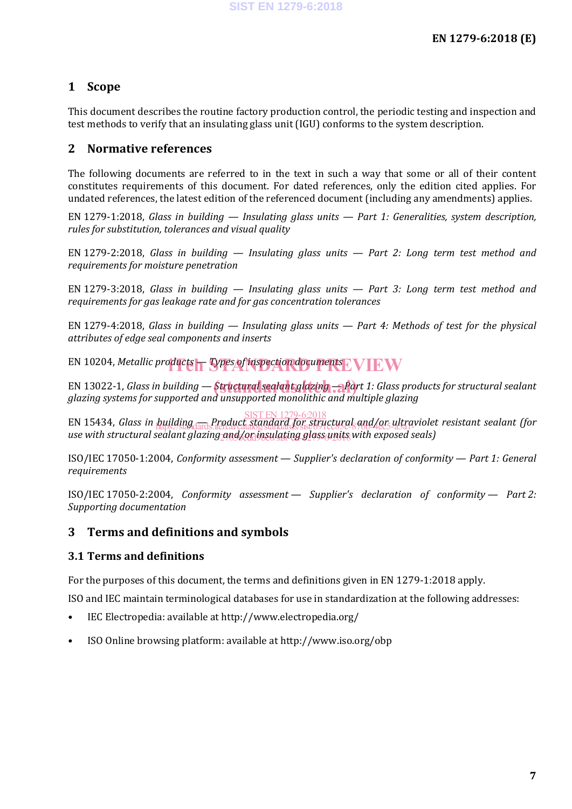### **1 Scope**

This document describes the routine factory production control, the periodic testing and inspection and test methods to verify that an insulating glass unit (IGU) conforms to the system description.

#### **2 Normative references**

The following documents are referred to in the text in such a way that some or all of their content constitutes requirements of this document. For dated references, only the edition cited applies. For undated references, the latest edition of the referenced document (including any amendments) applies.

EN 1279-1:2018, *Glass in building — Insulating glass units — Part 1: Generalities, system description, rules for substitution, tolerances and visual quality*

EN 1279-2:2018, *Glass in building — Insulating glass units — Part 2: Long term test method and requirements for moisture penetration*

EN 1279-3:2018, *Glass in building — Insulating glass units — Part 3: Long term test method and requirements for gas leakage rate and for gas concentration tolerances*

EN 1279-4:2018, *Glass in building — Insulating glass units — Part 4: Methods of test for the physical attributes of edge seal components and inserts*

EN 10204, *Metallic products — Types of inspection documents* EVIEW

EN 13022-1, *Glass in building* — *Structural sealant glazing* — *Part 1: Glass products for structural sealant glazing systems for supported and unsupported monolithic and multiple glazing*

EN 15434, *Glass in building — Product standard for structural and/or ultraviolet resistant sealant (for*  SIST EN 1279-6:2018 use with structural sealant glazing and/or insulating glass units with exposed seals) https://standards.iteh.ai/catalog/standards/sist/691cc85c-876b-4ec5-a3a1-

ISO/IEC 17050-1:2004, *Conformity assessment — Supplier's declaration of conformity — Part 1: General requirements*

ISO/IEC 17050-2:2004, *Conformity assessment — Supplier's declaration of conformity — Part 2: Supporting documentation*

#### **3 Terms and definitions and symbols**

#### **3.1 Terms and definitions**

For the purposes of this document, the terms and definitions given in EN 1279-1:2018 apply.

ISO and IEC maintain terminological databases for use in standardization at the following addresses:

- IEC Electropedia: available at http://www.electropedia.org/
- ISO Online browsing platform: available at http://www.iso.org/obp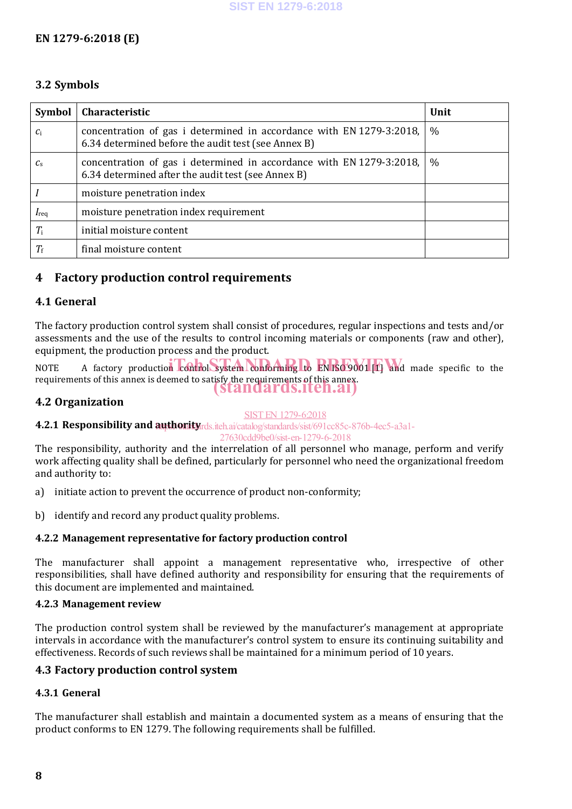#### **EN 1279-6:2018 (E)**

#### **3.2 Symbols**

| <b>Symbol</b>    | Characteristic                                                                                                              | Unit |
|------------------|-----------------------------------------------------------------------------------------------------------------------------|------|
| $c_i$            | concentration of gas i determined in accordance with EN 1279-3:2018,<br>6.34 determined before the audit test (see Annex B) | $\%$ |
| $c_{s}$          | concentration of gas i determined in accordance with EN 1279-3:2018,<br>6.34 determined after the audit test (see Annex B)  | $\%$ |
|                  | moisture penetration index                                                                                                  |      |
| $I_{\text{req}}$ | moisture penetration index requirement                                                                                      |      |
| $T_{\rm i}$      | initial moisture content                                                                                                    |      |
| $T_{\rm f}$      | final moisture content                                                                                                      |      |

#### **4 Factory production control requirements**

#### **4.1 General**

The factory production control system shall consist of procedures, regular inspections and tests and/or assessments and the use of the results to control incoming materials or components (raw and other), equipment, the production process and the product.

NOTE A factory production control system conforming to EN ISO 9001 [1] and made specific to the requirements of this annex is deemed to satisfy the requirements of this annex. (standards.iteh.ai)

#### **4.2 Organization**

#### SIST EN 1279-6:2018

**4.2.1 Responsibility and authority** rds.iteh.ai/catalog/standards/sist/691cc85c-876b-4ec5-a3a1-

27630cdd9be0/sist-en-1279-6-2018

The responsibility, authority and the interrelation of all personnel who manage, perform and verify work affecting quality shall be defined, particularly for personnel who need the organizational freedom and authority to:

- a) initiate action to prevent the occurrence of product non-conformity;
- b) identify and record any product quality problems.

#### **4.2.2 Management representative for factory production control**

The manufacturer shall appoint a management representative who, irrespective of other responsibilities, shall have defined authority and responsibility for ensuring that the requirements of this document are implemented and maintained.

#### **4.2.3 Management review**

The production control system shall be reviewed by the manufacturer's management at appropriate intervals in accordance with the manufacturer's control system to ensure its continuing suitability and effectiveness. Records of such reviews shall be maintained for a minimum period of 10 years.

#### **4.3 Factory production control system**

#### **4.3.1 General**

The manufacturer shall establish and maintain a documented system as a means of ensuring that the product conforms to EN 1279. The following requirements shall be fulfilled.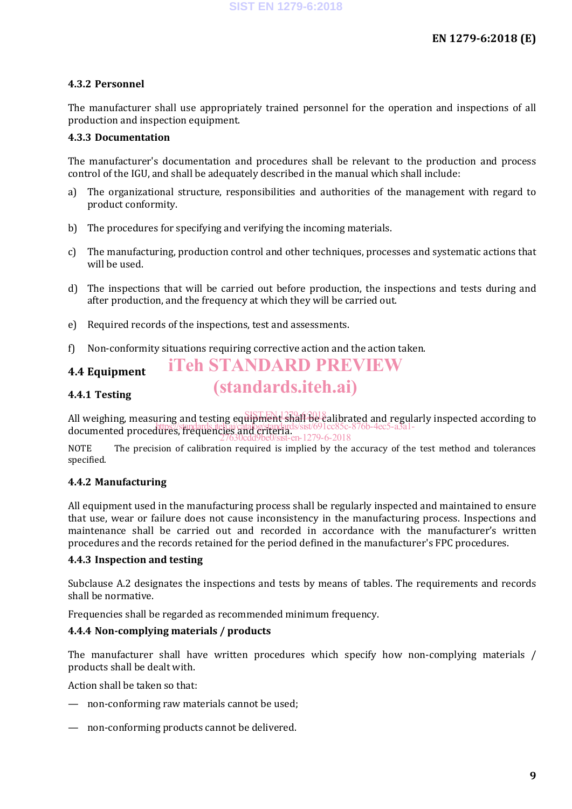#### **4.3.2 Personnel**

The manufacturer shall use appropriately trained personnel for the operation and inspections of all production and inspection equipment.

#### **4.3.3 Documentation**

The manufacturer's documentation and procedures shall be relevant to the production and process control of the IGU, and shall be adequately described in the manual which shall include:

- a) The organizational structure, responsibilities and authorities of the management with regard to product conformity.
- b) The procedures for specifying and verifying the incoming materials.
- c) The manufacturing, production control and other techniques, processes and systematic actions that will be used.
- d) The inspections that will be carried out before production, the inspections and tests during and after production, and the frequency at which they will be carried out.
- e) Required records of the inspections, test and assessments.
- f) Non-conformity situations requiring corrective action and the action taken.

#### **4.4 Equipment**

#### **4.4.1 Testing**

All weighing, measuring and testing equipment shall be calibrated and regularly inspected according to  $R_1$ ndocumented procedures, frequencies and criteria.<br>documented procedures, frequencies and criteria...  $2n-1279-6-2018$ 

iTeh STANDARD PREVIEW

(standards.iteh.ai)

NOTE The precision of calibration required is implied by the accuracy of the test method and tolerances specified.

#### **4.4.2 Manufacturing**

All equipment used in the manufacturing process shall be regularly inspected and maintained to ensure that use, wear or failure does not cause inconsistency in the manufacturing process. Inspections and maintenance shall be carried out and recorded in accordance with the manufacturer's written procedures and the records retained for the period defined in the manufacturer's FPC procedures.

#### **4.4.3 Inspection and testing**

Subclause A.2 designates the inspections and tests by means of tables. The requirements and records shall be normative.

Frequencies shall be regarded as recommended minimum frequency.

#### **4.4.4 Non-complying materials / products**

The manufacturer shall have written procedures which specify how non-complying materials / products shall be dealt with.

Action shall be taken so that:

- non-conforming raw materials cannot be used;
- non-conforming products cannot be delivered.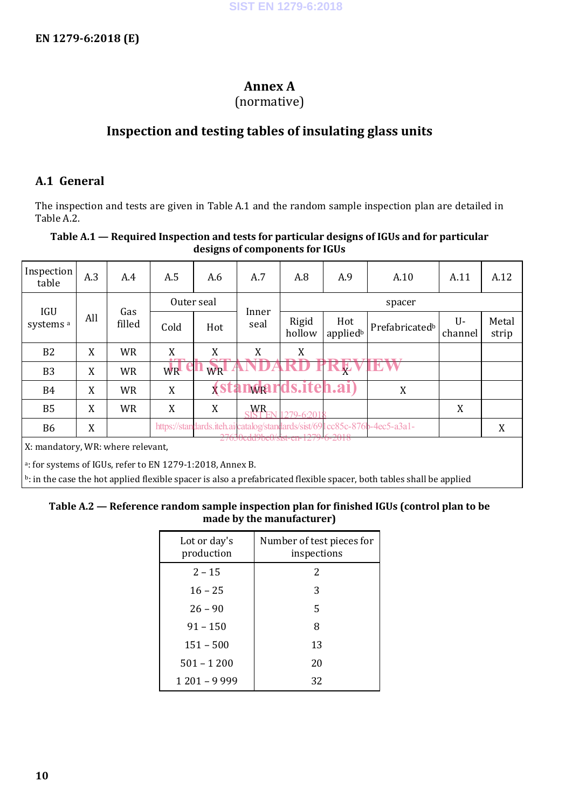## **Annex A**

#### (normative)

### **Inspection and testing tables of insulating glass units**

#### **A.1 General**

The inspection and tests are given in Table A.1 and the random sample inspection plan are detailed in Table A.2.

#### **Table A.1 — Required Inspection and tests for particular designs of IGUs and for particular designs of components for IGUs**

| Inspection<br>table                                                    | A.3 | A.4           | A.5        | A.6 | A.7                                      | A.8             | A.9             | A.10                                                                      | A.11          | A.12           |
|------------------------------------------------------------------------|-----|---------------|------------|-----|------------------------------------------|-----------------|-----------------|---------------------------------------------------------------------------|---------------|----------------|
| <b>IGU</b>                                                             |     |               | Outer seal |     |                                          | spacer          |                 |                                                                           |               |                |
| systems <sup>a</sup>                                                   | All | Gas<br>filled | Cold       | Hot | Inner<br>seal                            | Rigid<br>hollow | Hot<br>appliedb | Prefabricated <sup>b</sup>                                                | U-<br>channel | Metal<br>strip |
| B <sub>2</sub>                                                         | X   | <b>WR</b>     | X          | X   | X                                        | X               |                 |                                                                           |               |                |
| B <sub>3</sub>                                                         | X   | <b>WR</b>     | <b>WR</b>  | WR  |                                          |                 | <b>TKEVIEW</b>  |                                                                           |               |                |
| B4                                                                     | X   | <b>WR</b>     | X          |     | <i><b><u>(standards.iteh.ai)</u></b></i> |                 |                 | X                                                                         |               |                |
| <b>B5</b>                                                              | X   | <b>WR</b>     | X          | X   | <b>WR</b>                                | $1279 - 6201$   |                 |                                                                           | X             |                |
| <b>B6</b>                                                              | X   |               |            |     |                                          |                 |                 | https://standards.iteh.ai/catalog/standards/sist/691cc85c-876b-4ec5-a3a1- |               | X              |
| 27050cdd9be0/sist-eif 1279-0-2018<br>X: mandatory, WR: where relevant, |     |               |            |     |                                          |                 |                 |                                                                           |               |                |
| <sup>a</sup> : for systems of IGUs, refer to EN 1279-1:2018, Annex B.  |     |               |            |     |                                          |                 |                 |                                                                           |               |                |

 $b$ : in the case the hot applied flexible spacer is also a prefabricated flexible spacer, both tables shall be applied

#### **Table A.2 — Reference random sample inspection plan for finished IGUs (control plan to be made by the manufacturer)**

| Lot or day's<br>production | Number of test pieces for<br>inspections |
|----------------------------|------------------------------------------|
| $2 - 15$                   | 2                                        |
| $16 - 25$                  | 3                                        |
| $26 - 90$                  | 5                                        |
| $91 - 150$                 | 8                                        |
| $151 - 500$                | 13                                       |
| $501 - 1200$               | 20                                       |
| $1201 - 9999$              | 32                                       |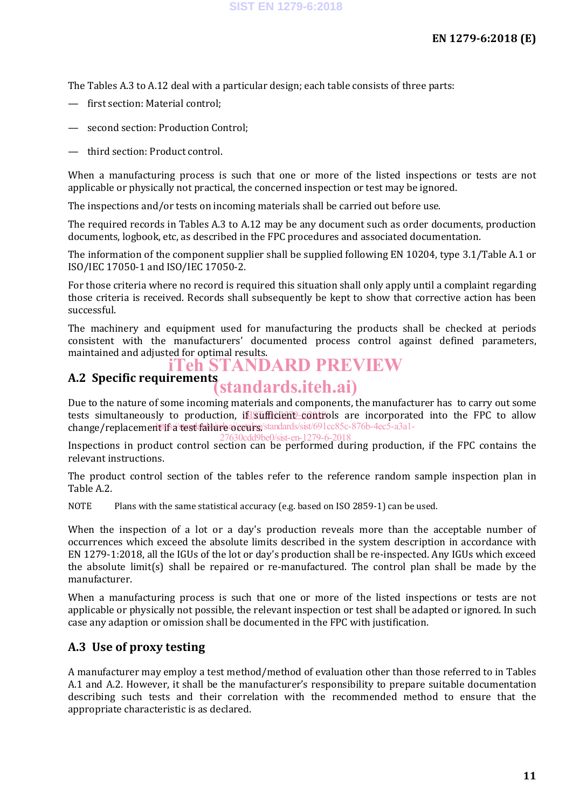The Tables A.3 to A.12 deal with a particular design; each table consists of three parts:

- first section: Material control;
- second section: Production Control;
- third section: Product control.

When a manufacturing process is such that one or more of the listed inspections or tests are not applicable or physically not practical, the concerned inspection or test may be ignored.

The inspections and/or tests on incoming materials shall be carried out before use.

The required records in Tables A.3 to A.12 may be any document such as order documents, production documents, logbook, etc, as described in the FPC procedures and associated documentation.

The information of the component supplier shall be supplied following EN 10204, type 3.1/Table A.1 or ISO/IEC 17050-1 and ISO/IEC 17050-2.

For those criteria where no record is required this situation shall only apply until a complaint regarding those criteria is received. Records shall subsequently be kept to show that corrective action has been successful.

The machinery and equipment used for manufacturing the products shall be checked at periods consistent with the manufacturers' documented process control against defined parameters, maintained and adjusted for optimal results.

## iTeh STANDARD PREVIEW

# **A.2 Specific requirements** (standards.iteh.ai)

Due to the nature of some incoming materials and components, the manufacturer has to carry out some tests simultaneously to production, if sufficient controls are incorporated into the FPC to allow change/replacement if a test failure occurs/standards/sist/691cc85c-876b-4ec5-a3a1-27630cdd9be0/sist-en-1279-6-2018

Inspections in product control section can be performed during production, if the FPC contains the relevant instructions.

The product control section of the tables refer to the reference random sample inspection plan in Table A.2.

NOTE Plans with the same statistical accuracy (e.g. based on ISO 2859-1) can be used.

When the inspection of a lot or a day's production reveals more than the acceptable number of occurrences which exceed the absolute limits described in the system description in accordance with EN 1279-1:2018, all the IGUs of the lot or day's production shall be re-inspected. Any IGUs which exceed the absolute limit(s) shall be repaired or re-manufactured. The control plan shall be made by the manufacturer.

When a manufacturing process is such that one or more of the listed inspections or tests are not applicable or physically not possible, the relevant inspection or test shall be adapted or ignored. In such case any adaption or omission shall be documented in the FPC with justification.

#### **A.3 Use of proxy testing**

A manufacturer may employ a test method/method of evaluation other than those referred to in Tables A.1 and A.2. However, it shall be the manufacturer's responsibility to prepare suitable documentation describing such tests and their correlation with the recommended method to ensure that the appropriate characteristic is as declared.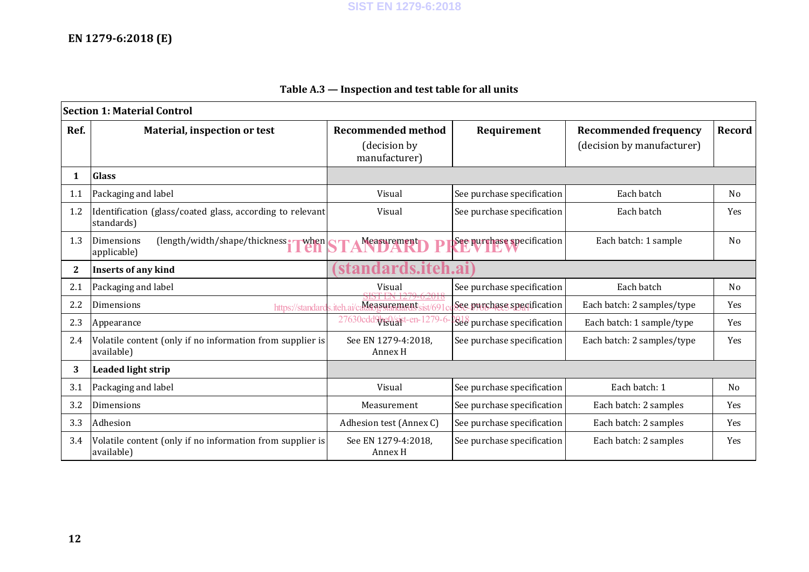## **EN 1279-6:2018 (E)**

| <b>Section 1: Material Control</b> |                                                                                |                                    |                            |                              |                |  |  |  |
|------------------------------------|--------------------------------------------------------------------------------|------------------------------------|----------------------------|------------------------------|----------------|--|--|--|
| Ref.                               | Material, inspection or test                                                   | <b>Recommended method</b>          | Requirement                | <b>Recommended frequency</b> | Record         |  |  |  |
|                                    |                                                                                | (decision by<br>manufacturer)      |                            | (decision by manufacturer)   |                |  |  |  |
| 1                                  | <b>Glass</b>                                                                   |                                    |                            |                              |                |  |  |  |
| 1.1                                | Packaging and label                                                            | Visual                             | See purchase specification | Each batch                   | N <sub>0</sub> |  |  |  |
| 1.2                                | Identification (glass/coated glass, according to relevant)<br>standards)       | Visual                             | See purchase specification | Each batch                   | <b>Yes</b>     |  |  |  |
| 1.3                                | Dimensions<br>$\frac{1}{2}$ (length/width/shape/thickness. when<br>applicable) | Measurement                        | See purchase specification | Each batch: 1 sample         | N <sub>0</sub> |  |  |  |
| $\mathbf{2}$                       | Inserts of any kind                                                            | ards.iteh.ai                       |                            |                              |                |  |  |  |
| 2.1                                | Packaging and label                                                            | Visual                             | See purchase specification | Each batch                   | N <sub>0</sub> |  |  |  |
| 2.2                                | Dimensions<br>https://standar                                                  | Measurement<br>iteh                | See punchase specification | Each batch: 2 samples/type   | <b>Yes</b>     |  |  |  |
| 2.3                                | Appearance                                                                     | 27630cd<br>19 <sub>2</sub> Stat-en | See purchase specification | Each batch: 1 sample/type    | <b>Yes</b>     |  |  |  |
| 2.4                                | Volatile content (only if no information from supplier is<br>available)        | See EN 1279-4:2018.<br>Annex H     | See purchase specification | Each batch: 2 samples/type   | <b>Yes</b>     |  |  |  |
| 3                                  | <b>Leaded light strip</b>                                                      |                                    |                            |                              |                |  |  |  |
| 3.1                                | Packaging and label                                                            | Visual                             | See purchase specification | Each batch: 1                | N <sub>0</sub> |  |  |  |
| 3.2                                | Dimensions                                                                     | Measurement                        | See purchase specification | Each batch: 2 samples        | <b>Yes</b>     |  |  |  |
| 3.3                                | Adhesion                                                                       | Adhesion test (Annex C)            | See purchase specification | Each batch: 2 samples        | <b>Yes</b>     |  |  |  |
| 3.4                                | Volatile content (only if no information from supplier is<br>available)        | See EN 1279-4:2018.<br>Annex H     | See purchase specification | Each batch: 2 samples        | <b>Yes</b>     |  |  |  |

### **Table A.3 — Inspection and test table for all units**